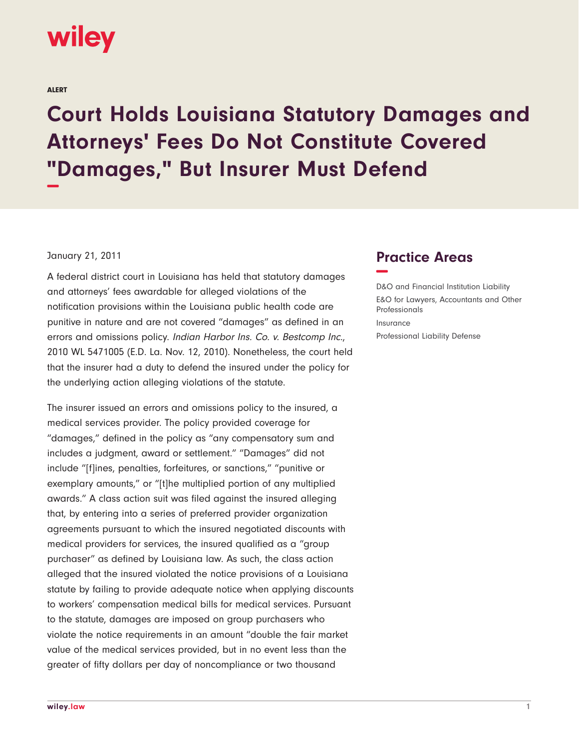

ALERT

## **Court Holds Louisiana Statutory Damages and Attorneys' Fees Do Not Constitute Covered "Damages," But Insurer Must Defend −**

## January 21, 2011

A federal district court in Louisiana has held that statutory damages and attorneys' fees awardable for alleged violations of the notification provisions within the Louisiana public health code are punitive in nature and are not covered "damages" as defined in an errors and omissions policy. Indian Harbor Ins. Co. v. Bestcomp Inc., 2010 WL 5471005 (E.D. La. Nov. 12, 2010). Nonetheless, the court held that the insurer had a duty to defend the insured under the policy for the underlying action alleging violations of the statute.

The insurer issued an errors and omissions policy to the insured, a medical services provider. The policy provided coverage for "damages," defined in the policy as "any compensatory sum and includes a judgment, award or settlement." "Damages" did not include "[f]ines, penalties, forfeitures, or sanctions," "punitive or exemplary amounts," or "[t]he multiplied portion of any multiplied awards." A class action suit was filed against the insured alleging that, by entering into a series of preferred provider organization agreements pursuant to which the insured negotiated discounts with medical providers for services, the insured qualified as a "group purchaser" as defined by Louisiana law. As such, the class action alleged that the insured violated the notice provisions of a Louisiana statute by failing to provide adequate notice when applying discounts to workers' compensation medical bills for medical services. Pursuant to the statute, damages are imposed on group purchasers who violate the notice requirements in an amount "double the fair market value of the medical services provided, but in no event less than the greater of fifty dollars per day of noncompliance or two thousand

## **Practice Areas −**

D&O and Financial Institution Liability E&O for Lawyers, Accountants and Other Professionals Insurance Professional Liability Defense